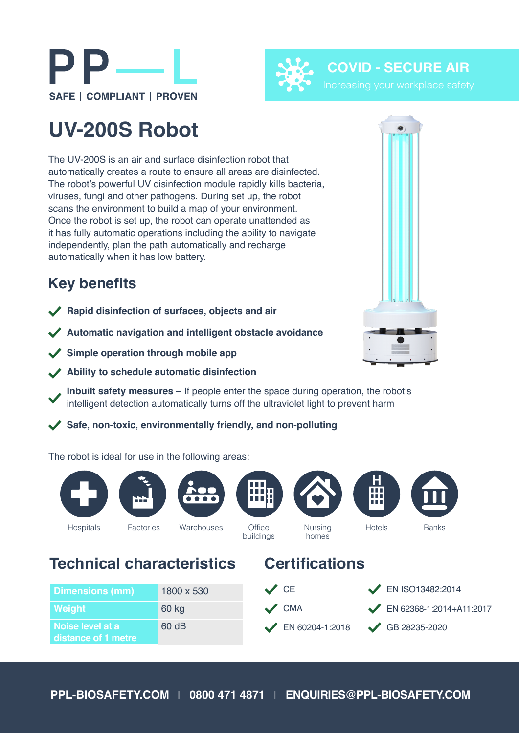

**Office** buildings Hospitals Factories Warehouses Office Nursing Hotels Banks



## **UV-200S Robot**

The UV-200S is an air and surface disinfection robot that automatically creates a route to ensure all areas are disinfected. The robot's powerful UV disinfection module rapidly kills bacteria, viruses, fungi and other pathogens. During set up, the robot scans the environment to build a map of your environment. Once the robot is set up, the robot can operate unattended as it has fully automatic operations including the ability to navigate independently, plan the path automatically and recharge automatically when it has low battery.

## **Key benefits**

- **Rapid disinfection of surfaces, objects and air**
- **Automatic navigation and intelligent obstacle avoidance**
- **Simple operation through mobile app**
- **Ability to schedule automatic disinfection**
	- **Inbuilt safety measures** If people enter the space during operation, the robot's intelligent detection automatically turns off the ultraviolet light to prevent harm
- **Safe, non-toxic, environmentally friendly, and non-polluting**

The robot is ideal for use in the following areas:

60 dB

**Dimensions (mm)** 1800 x 530

**Weight** 60 kg

**Noise level at a distance of 1 metre**

## **Technical characteristics Certifications**

homes



**H**



**COVID - SECURE AIR**